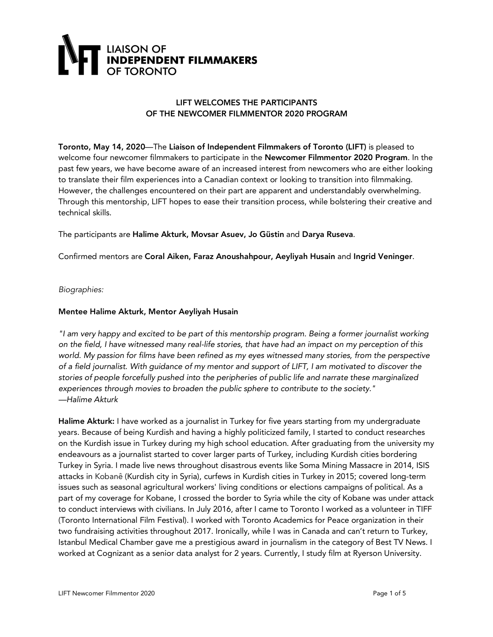

### LIFT WELCOMES THE PARTICIPANTS OF THE NEWCOMER FILMMENTOR 2020 PROGRAM

Toronto, May 14, 2020—The Liaison of Independent Filmmakers of Toronto (LIFT) is pleased to welcome four newcomer filmmakers to participate in the Newcomer Filmmentor 2020 Program. In the past few years, we have become aware of an increased interest from newcomers who are either looking to translate their film experiences into a Canadian context or looking to transition into filmmaking. However, the challenges encountered on their part are apparent and understandably overwhelming. Through this mentorship, LIFT hopes to ease their transition process, while bolstering their creative and technical skills.

The participants are Halime Akturk, Movsar Asuev, Jo Güstin and Darya Ruseva.

Confirmed mentors are Coral Aiken, Faraz Anoushahpour, Aeyliyah Husain and Ingrid Veninger.

*Biographies:*

### Mentee Halime Akturk, Mentor Aeyliyah Husain

"I am very happy and excited to be part of this mentorship program. Being a former journalist working on the field, I have witnessed many real-life stories, that have had an impact on my perception of this *world. My passion for films have been refined as my eyes witnessed many stories, from the perspective* of a field journalist. With guidance of my mentor and support of LIFT, I am motivated to discover the *stories of people forcefully pushed into the peripheries of public life and narrate these marginalized experiences through movies to broaden the public sphere to contribute to the society." —Halime Akturk*

Halime Akturk: I have worked as a journalist in Turkey for five years starting from my undergraduate years. Because of being Kurdish and having a highly politicized family, I started to conduct researches on the Kurdish issue in Turkey during my high school education. After graduating from the university my endeavours as a journalist started to cover larger parts of Turkey, including Kurdish cities bordering Turkey in Syria. I made live news throughout disastrous events like Soma Mining Massacre in 2014, ISIS attacks in Kobanê (Kurdish city in Syria), curfews in Kurdish cities in Turkey in 2015; covered long-term issues such as seasonal agricultural workers' living conditions or elections campaigns of political. As a part of my coverage for Kobane, I crossed the border to Syria while the city of Kobane was under attack to conduct interviews with civilians. In July 2016, after I came to Toronto I worked as a volunteer in TIFF (Toronto International Film Festival). I worked with Toronto Academics for Peace organization in their two fundraising activities throughout 2017. Ironically, while I was in Canada and can't return to Turkey, Istanbul Medical Chamber gave me a prestigious award in journalism in the category of Best TV News. I worked at Cognizant as a senior data analyst for 2 years. Currently, I study film at Ryerson University.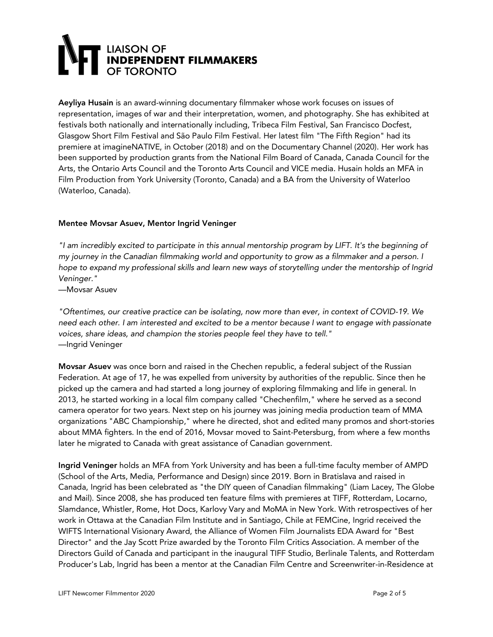# **E LIAISON OF<br>INDEPENDENT FILMMAKERS<br>OF TORONTO**

Aeyliya Husain is an award-winning documentary filmmaker whose work focuses on issues of representation, images of war and their interpretation, women, and photography. She has exhibited at festivals both nationally and internationally including, Tribeca Film Festival, San Francisco Docfest, Glasgow Short Film Festival and São Paulo Film Festival. Her latest film "The Fifth Region" had its premiere at imagineNATIVE, in October (2018) and on the Documentary Channel (2020). Her work has been supported by production grants from the National Film Board of Canada, Canada Council for the Arts, the Ontario Arts Council and the Toronto Arts Council and VICE media. Husain holds an MFA in Film Production from York University (Toronto, Canada) and a BA from the University of Waterloo (Waterloo, Canada).

### Mentee Movsar Asuev, Mentor Ingrid Veninger

*"I am incredibly excited to participate in this annual mentorship program by LIFT. It's the beginning of my journey in the Canadian filmmaking world and opportunity to grow as a filmmaker and a person. I hope to expand my professional skills and learn new ways of storytelling under the mentorship of Ingrid Veninger."*

—Movsar Asuev

*"Oftentimes, our creative practice can be isolating, now more than ever, in context of COVID-19. We* need each other. I am interested and excited to be a mentor because I want to engage with passionate *voices, share ideas, and champion the stories people feel they have to tell."* —Ingrid Veninger

Movsar Asuev was once born and raised in the Chechen republic, a federal subject of the Russian Federation. At age of 17, he was expelled from university by authorities of the republic. Since then he picked up the camera and had started a long journey of exploring filmmaking and life in general. In 2013, he started working in a local film company called "Chechenfilm," where he served as a second camera operator for two years. Next step on his journey was joining media production team of MMA organizations "ABC Championship," where he directed, shot and edited many promos and short-stories about MMA fighters. In the end of 2016, Movsar moved to Saint-Petersburg, from where a few months later he migrated to Canada with great assistance of Canadian government.

Ingrid Veninger holds an MFA from York University and has been a full-time faculty member of AMPD (School of the Arts, Media, Performance and Design) since 2019. Born in Bratislava and raised in Canada, Ingrid has been celebrated as "the DIY queen of Canadian filmmaking" (Liam Lacey, The Globe and Mail). Since 2008, she has produced ten feature films with premieres at TIFF, Rotterdam, Locarno, Slamdance, Whistler, Rome, Hot Docs, Karlovy Vary and MoMA in New York. With retrospectives of her work in Ottawa at the Canadian Film Institute and in Santiago, Chile at FEMCine, Ingrid received the WIFTS International Visionary Award, the Alliance of Women Film Journalists EDA Award for "Best Director" and the Jay Scott Prize awarded by the Toronto Film Critics Association. A member of the Directors Guild of Canada and participant in the inaugural TIFF Studio, Berlinale Talents, and Rotterdam Producer's Lab, Ingrid has been a mentor at the Canadian Film Centre and Screenwriter-in-Residence at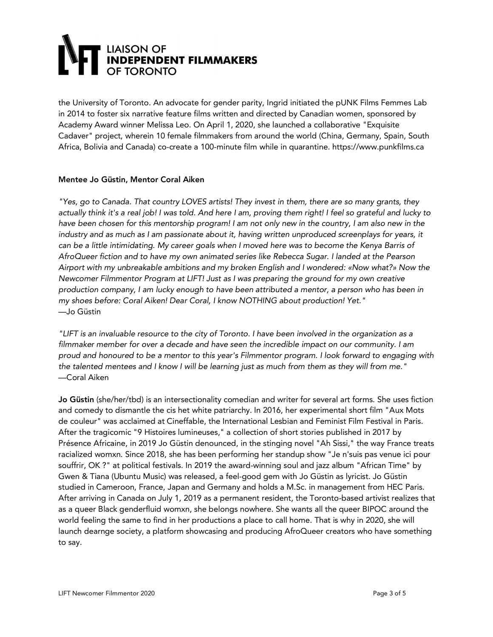# **E LIAISON OF<br>EINDEPENDENT FILMMAKERS<br>E OF TORONTO**

the University of Toronto. An advocate for gender parity, Ingrid initiated the pUNK Films Femmes Lab in 2014 to foster six narrative feature films written and directed by Canadian women, sponsored by Academy Award winner Melissa Leo. On April 1, 2020, she launched a collaborative "Exquisite Cadaver" project, wherein 10 female filmmakers from around the world (China, Germany, Spain, South Africa, Bolivia and Canada) co-create a 100-minute film while in quarantine. https://www.punkfilms.ca

### Mentee Jo Güstin, Mentor Coral Aiken

"Yes, go to Canada. That country LOVES artists! They invest in them, there are so many grants, they actually think it's a real job! I was told. And here I am, proving them right! I feel so grateful and lucky to have been chosen for this mentorship program! I am not only new in the country, I am also new in the *industry and as much as I am passionate about it, having written unproduced screenplays for years, it* can be a little intimidating. My career goals when I moved here was to become the Kenya Barris of *AfroQueer fiction and to have my own animated series like Rebecca Sugar. I landed at the Pearson Airport with my unbreakable ambitions and my broken English and I wondered: «Now what?» Now the Newcomer Filmmentor Program at LIFT! Just as I was preparing the ground for my own creative production company, I am lucky enough to have been attributed a mentor, a person who has been in my shoes before: Coral Aiken! Dear Coral, I know NOTHING about production! Yet."* —Jo Güstin

"LIFT is an invaluable resource to the city of Toronto. I have been involved in the organization as a *filmmaker member for over a decade and have seen the incredible impact on our community. I am* proud and honoured to be a mentor to this year's Filmmentor program. I look forward to engaging with the talented mentees and I know I will be learning just as much from them as they will from me." —Coral Aiken

Jo Güstin (she/her/tbd) is an intersectionality comedian and writer for several art forms. She uses fiction and comedy to dismantle the cis het white patriarchy. In 2016, her experimental short film "Aux Mots de couleur" was acclaimed at Cineffable, the International Lesbian and Feminist Film Festival in Paris. After the tragicomic "9 Histoires lumineuses," a collection of short stories published in 2017 by Présence Africaine, in 2019 Jo Güstin denounced, in the stinging novel "Ah Sissi," the way France treats racialized womxn. Since 2018, she has been performing her standup show "Je n'suis pas venue ici pour souffrir, OK ?" at political festivals. In 2019 the award-winning soul and jazz album "African Time" by Gwen & Tiana (Ubuntu Music) was released, a feel-good gem with Jo Güstin as lyricist. Jo Güstin studied in Cameroon, France, Japan and Germany and holds a M.Sc. in management from HEC Paris. After arriving in Canada on July 1, 2019 as a permanent resident, the Toronto-based artivist realizes that as a queer Black genderfluid womxn, she belongs nowhere. She wants all the queer BIPOC around the world feeling the same to find in her productions a place to call home. That is why in 2020, she will launch dearnge society, a platform showcasing and producing AfroQueer creators who have something to say.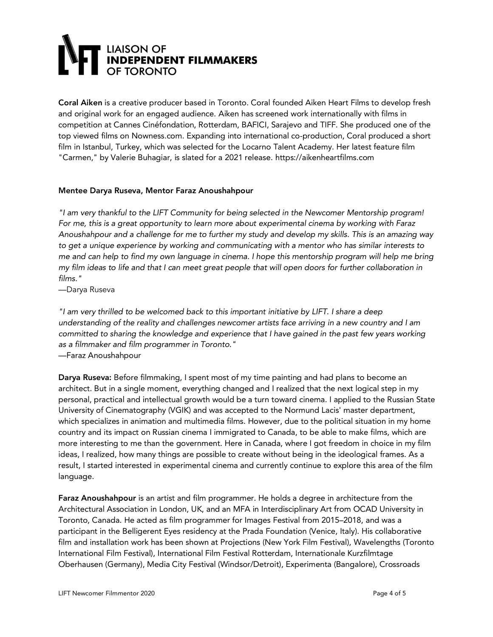# LIAISON OF<br>| **INDEPENDENT FILMMAKERS**<br>| OF TORONTO

Coral Aiken is a creative producer based in Toronto. Coral founded Aiken Heart Films to develop fresh and original work for an engaged audience. Aiken has screened work internationally with films in competition at Cannes Cinéfondation, Rotterdam, BAFICI, Sarajevo and TIFF. She produced one of the top viewed films on Nowness.com. Expanding into international co-production, Coral produced a short film in Istanbul, Turkey, which was selected for the Locarno Talent Academy. Her latest feature film "Carmen," by Valerie Buhagiar, is slated for a 2021 release. https://aikenheartfilms.com

### Mentee Darya Ruseva, Mentor Faraz Anoushahpour

*"I am very thankful to the LIFT Community for being selected in the Newcomer Mentorship program! For me, this is a great opportunity to learn more about experimental cinema by working with Faraz* Anoushahpour and a challenge for me to further my study and develop my skills. This is an amazing way *to get a unique experience by working and communicating with a mentor who has similar interests to* me and can help to find my own language in cinema. I hope this mentorship program will help me bring my film ideas to life and that I can meet great people that will open doors for further collaboration in *films."*

—Darya Ruseva

*"I am very thrilled to be welcomed back to this important initiative by LIFT. I share a deep understanding of the reality and challenges newcomer artists face arriving in a new country and I am committed to sharing the knowledge and experience that I have gained in the past few years working as a filmmaker and film programmer in Toronto."* —Faraz Anoushahpour

Darya Ruseva: Before filmmaking, I spent most of my time painting and had plans to become an architect. But in a single moment, everything changed and I realized that the next logical step in my personal, practical and intellectual growth would be a turn toward cinema. I applied to the Russian State University of Cinematography (VGIK) and was accepted to the Normund Lacis' master department, which specializes in animation and multimedia films. However, due to the political situation in my home country and its impact on Russian cinema I immigrated to Canada, to be able to make films, which are more interesting to me than the government. Here in Canada, where I got freedom in choice in my film ideas, I realized, how many things are possible to create without being in the ideological frames. As a result, I started interested in experimental cinema and currently continue to explore this area of the film language.

Faraz Anoushahpour is an artist and film programmer. He holds a degree in architecture from the Architectural Association in London, UK, and an MFA in Interdisciplinary Art from OCAD University in Toronto, Canada. He acted as film programmer for Images Festival from 2015–2018, and was a participant in the Belligerent Eyes residency at the Prada Foundation (Venice, Italy). His collaborative film and installation work has been shown at Projections (New York Film Festival), Wavelengths (Toronto International Film Festival), International Film Festival Rotterdam, Internationale Kurzfilmtage Oberhausen (Germany), Media City Festival (Windsor/Detroit), Experimenta (Bangalore), Crossroads